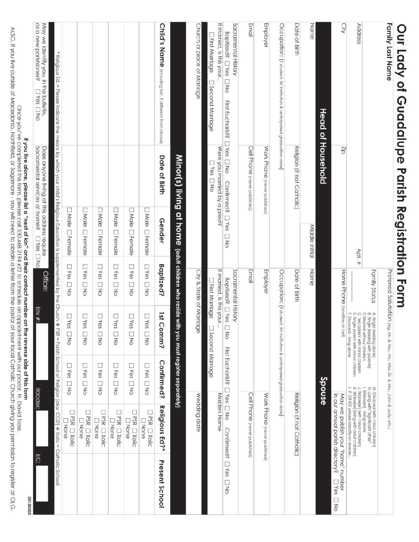| Our Lady of Guadalupe Parish Registration Form                                                                                                                                             |                                                                                                                                                                                                          |                                                                                      |                                                      |                                                                                                       |                               |                                                                                                                                                          |                              |
|--------------------------------------------------------------------------------------------------------------------------------------------------------------------------------------------|----------------------------------------------------------------------------------------------------------------------------------------------------------------------------------------------------------|--------------------------------------------------------------------------------------|------------------------------------------------------|-------------------------------------------------------------------------------------------------------|-------------------------------|----------------------------------------------------------------------------------------------------------------------------------------------------------|------------------------------|
| Family Last Name                                                                                                                                                                           |                                                                                                                                                                                                          |                                                                                      |                                                      | Preferred Salutation (eg. Mr. & Mrs.; Ms.; Miss; Dr. & Mrs.; John & Judy; etc.)                       |                               |                                                                                                                                                          |                              |
|                                                                                                                                                                                            |                                                                                                                                                                                                          |                                                                                      | Family Status                                        | A. Single (residing alone)<br>B. Single (residing with parents)<br>C.Married without children         |                               | G. Divorced (with minor children)<br>H. Living with "significant other"                                                                                  |                              |
| Address                                                                                                                                                                                    |                                                                                                                                                                                                          | Apt.#                                                                                |                                                      | E. Single parent with minor children<br>F. Divorced - IMng alone<br>D. Two parent with minor children |                               | K. Widowjerj (IMng with adult children)<br>L. IF OTHER, please identify on reverse.<br>I. Widowler) - living alone<br>J. Widowler) (with minor children) |                              |
| City                                                                                                                                                                                       | Zip                                                                                                                                                                                                      |                                                                                      | Home Phone (landline or cell)                        |                                                                                                       |                               | in our annual parish directory?<br>May we publish your 'home' number                                                                                     | <b>DYBS</b> DNO              |
|                                                                                                                                                                                            | Head of Household                                                                                                                                                                                        |                                                                                      |                                                      |                                                                                                       | Spouse                        |                                                                                                                                                          |                              |
| Name                                                                                                                                                                                       |                                                                                                                                                                                                          | Middle Initial                                                                       | Name                                                 |                                                                                                       |                               |                                                                                                                                                          |                              |
|                                                                                                                                                                                            |                                                                                                                                                                                                          |                                                                                      |                                                      |                                                                                                       |                               |                                                                                                                                                          |                              |
| Date of Birth                                                                                                                                                                              | Religion (if not Catholic)                                                                                                                                                                               |                                                                                      | Date of Birth                                        |                                                                                                       |                               | Religion (if not Catholic)                                                                                                                               |                              |
| Occupation: (if student, list institution & anticipated graduation date)                                                                                                                   |                                                                                                                                                                                                          |                                                                                      |                                                      | Occupation: (if student, list institution & anticipated graduation date)                              |                               |                                                                                                                                                          |                              |
| Employer                                                                                                                                                                                   | Work Phone (never published)                                                                                                                                                                             |                                                                                      | Employer                                             |                                                                                                       |                               | Work Phone (never published)                                                                                                                             |                              |
| Email                                                                                                                                                                                      | Cell Phone (never published)                                                                                                                                                                             |                                                                                      | Email                                                |                                                                                                       |                               | Cell Phone (never published)                                                                                                                             |                              |
| Sacramental History<br>Baptized? □ Yes □ No<br>First Eucharist?                                                                                                                            | DYes DNo<br>Confirmed? [1Yes                                                                                                                                                                             |                                                                                      | Sacramental History                                  |                                                                                                       |                               | <b>DYBS DNO</b><br><b>Confirmed?</b>                                                                                                                     |                              |
| If married, is this your                                                                                                                                                                   | Were you married by a priest?                                                                                                                                                                            | ON                                                                                   | If married, is this your<br><b>Baptized?</b> □ Yes [ | $\overline{6}$                                                                                        | First Eucharist?              | Maiden<br>Nane                                                                                                                                           | $\Box$<br>Yes<br>$\Box$<br>Z |
| T First Marriage<br><b>Disecond Marriage</b>                                                                                                                                               | DYBS DNO                                                                                                                                                                                                 |                                                                                      | <b>TFirst Marriage</b>                               | 3 Second Marriage                                                                                     |                               |                                                                                                                                                          |                              |
| Church or place of Marriage                                                                                                                                                                |                                                                                                                                                                                                          |                                                                                      | City & State of Marriage                             |                                                                                                       |                               | Wedding date                                                                                                                                             |                              |
|                                                                                                                                                                                            |                                                                                                                                                                                                          | Minor(s) living at home tadut children who reside with you must register separately) |                                                      |                                                                                                       |                               |                                                                                                                                                          |                              |
| Child's Name (including last, if different from above)                                                                                                                                     | Date of Birth                                                                                                                                                                                            | Gender                                                                               | <b>Baptized?</b>                                     | 1stC<br>cmmo?                                                                                         | Confirmed?                    | Religious Ed?*                                                                                                                                           | Present School               |
|                                                                                                                                                                                            |                                                                                                                                                                                                          | □ Male □ Female                                                                      | <b>DYBS</b> DNO                                      | <b>DYes</b><br>ON                                                                                     | <b>LYes</b><br>DND            | <b>JPSR LI Xolic</b><br><b>Thone</b>                                                                                                                     |                              |
|                                                                                                                                                                                            |                                                                                                                                                                                                          | □ Male □ Fernale                                                                     | DYBS DNO                                             | $\square$ Yes<br>□<br>ξ                                                                               | $\square$ Yes<br>D NO         | <b>SR Nolic</b><br><b>Thone</b>                                                                                                                          |                              |
|                                                                                                                                                                                            |                                                                                                                                                                                                          | □ Male □ Female                                                                      | <b>ONES</b> DNO                                      | $\square$ Yes<br>ON                                                                                   | <b>LYes</b><br>ON             | <b>DPSR DXolic</b><br><b>TNone</b>                                                                                                                       |                              |
|                                                                                                                                                                                            |                                                                                                                                                                                                          | <b>DI Male</b><br><b>D</b> Female                                                    | <b>OYBS DNO</b>                                      | $\square$ Yes<br>□<br>$\overline{6}$                                                                  | Ω<br>Yes<br>D NO              | □PSR □ Xolic<br><b>Li</b> None                                                                                                                           |                              |
|                                                                                                                                                                                            |                                                                                                                                                                                                          | □ Male □ Female                                                                      | <b>ONES LINO</b>                                     | <b>DYes</b><br>$\Box$<br>ŠΣ                                                                           | Ω<br>Yes<br>ON                | L.<br><b>PSR OXOlic</b><br><b>None</b>                                                                                                                   |                              |
|                                                                                                                                                                                            |                                                                                                                                                                                                          | Male <b>L</b> Female                                                                 | <b>DYBS</b> DNO                                      | $\square$ Yes<br>D<br>NO                                                                              | L<br>Yes<br>ON                | <b>IPSR IN Xolic</b><br><b>Thone</b>                                                                                                                     |                              |
| * Religious Ed. = Please indicate the means by which your child's Religious Education is supplemented by the Church $\spadesuit$                                                           |                                                                                                                                                                                                          |                                                                                      |                                                      |                                                                                                       |                               | PSR = Parish School of Religion {aka: CCD} * Xolic = Catholic School                                                                                     |                              |
| May we identify you, in the bulletin,<br>as a new parishioner?<br><b>DYes DNo</b>                                                                                                          | Sacramental services at home?<br>Does anyone living at this address require                                                                                                                              | <b>DYBS DNO</b>                                                                      | Office:                                              | Env #:                                                                                                | Rolodex:                      |                                                                                                                                                          | EC                           |
|                                                                                                                                                                                            | Once you've completed this form, please call 330.468.2194 x22 to schedule an appointment with our pastor, Fr. David Trask.<br>If you live alone, please list a "next of kin" and their contact number on |                                                                                      |                                                      |                                                                                                       | the reverse side of this form |                                                                                                                                                          | 20130303                     |
| ALSO, if you live outside of Macedonia, Northfield, or Sagamore - you will need to obtain a lefter from the pastor of your local Catholic Church giving you permission to register at OLG. |                                                                                                                                                                                                          |                                                                                      |                                                      |                                                                                                       |                               |                                                                                                                                                          |                              |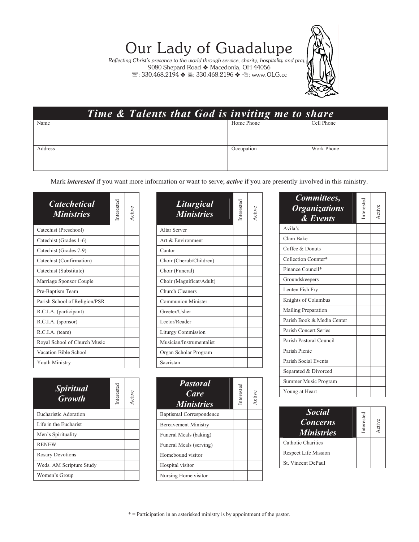## Our Lady of Guadalupe

*Reflecting Christ's presence to the world through service, charity, hospitality and pray*<br>→ 9080 Shepard Road ◆ Macedonia, OH 44056  $\mathcal{R}: 330.468.2194 \Leftrightarrow \exists : 330.468.2196 \Leftrightarrow \exists : 330.468.2196$ 



|         |  | Time & Talents that God is inviting me to share |            |
|---------|--|-------------------------------------------------|------------|
| Name    |  | Home Phone                                      | Cell Phone |
|         |  |                                                 |            |
| Address |  | Occupation                                      | Work Phone |
|         |  |                                                 |            |
|         |  |                                                 |            |

Mark *interested* if you want more information or want to serve; *active* if you are presently involved in this ministry.

| <b>Catechetical</b><br><b>Ministries</b> | Interested |  |
|------------------------------------------|------------|--|
| Catechist (Preschool)                    |            |  |
| Catechist (Grades 1-6)                   |            |  |
| Catechist (Grades 7-9)                   |            |  |
| Catechist (Confirmation)                 |            |  |
| Catechist (Substitute)                   |            |  |
| Marriage Sponsor Couple                  |            |  |
| Pre-Baptism Team                         |            |  |
| Parish School of Religion/PSR            |            |  |
| R.C.I.A. (participant)                   |            |  |
| R.C.I.A. (sponsor)                       |            |  |
| R.C.I.A. (team)                          |            |  |
| Royal School of Church Music             |            |  |
| Vacation Bible School                    |            |  |
| <b>Youth Ministry</b>                    |            |  |

| <b>Spiritual</b><br><b>Growth</b> | Interested | Active |
|-----------------------------------|------------|--------|
| Eucharistic Adoration             |            |        |
| Life in the Eucharist             |            |        |
| Men's Spirituality                |            |        |
| <b>RENEW</b>                      |            |        |
| <b>Rosary Devotions</b>           |            |        |
| Weds. AM Scripture Study          |            |        |
| Women's Group                     |            |        |

| Liturgical<br><b>Ministries</b> | Interested | Active |
|---------------------------------|------------|--------|
| Altar Server                    |            |        |
| Art & Environment               |            |        |
| Cantor                          |            |        |
| Choir (Cherub/Children)         |            |        |
| Choir (Funeral)                 |            |        |
| Choir (Magnificat/Adult)        |            |        |
| Church Cleaners                 |            |        |
| <b>Communion Minister</b>       |            |        |
| Greeter/Usher                   |            |        |
| Lector/Reader                   |            |        |
| <b>Liturgy Commission</b>       |            |        |
| Musician/Instrumentalist        |            |        |
| Organ Scholar Program           |            |        |
| Sacristan                       |            |        |

| <b>Pastoral</b><br>Care<br><b>Ministries</b> | Interested | Active |
|----------------------------------------------|------------|--------|
| <b>Baptismal Correspondence</b>              |            |        |
| <b>Bereavement Ministry</b>                  |            |        |
| Funeral Meals (baking)                       |            |        |
| Funeral Meals (serving)                      |            |        |
| Homebound visitor                            |            |        |
| Hospital visitor                             |            |        |
| Nursing Home visitor                         |            |        |

| Committees,<br><b>Organizations</b><br>& Events | nterested | Active |
|-------------------------------------------------|-----------|--------|
| Avila's                                         |           |        |
| Clam Bake                                       |           |        |
| Coffee & Donuts                                 |           |        |
| Collection Counter*                             |           |        |
| Finance Council*                                |           |        |
| Groundskeepers                                  |           |        |
| Lenten Fish Fry                                 |           |        |
| Knights of Columbus                             |           |        |
| Mailing Preparation                             |           |        |
| Parish Book & Media Center                      |           |        |
| Parish Concert Series                           |           |        |
| Parish Pastoral Council                         |           |        |
| Parish Picnic                                   |           |        |
| Parish Social Events                            |           |        |
| Separated & Divorced                            |           |        |
| Summer Music Program                            |           |        |
| Young at Heart                                  |           |        |

| <b>Social</b><br><b>Concerns</b><br><b>Ministries</b> | Interested | Active |
|-------------------------------------------------------|------------|--------|
| Catholic Charities                                    |            |        |
| Respect Life Mission                                  |            |        |
| St. Vincent DePaul                                    |            |        |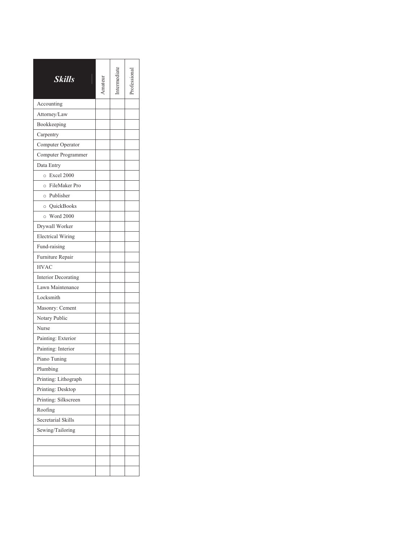| Skills                       | mateur | termedia |  |
|------------------------------|--------|----------|--|
| Accounting                   |        |          |  |
| Attorney/Law                 |        |          |  |
| Bookkeeping                  |        |          |  |
| Carpentry                    |        |          |  |
| Computer Operator            |        |          |  |
| Computer Programmer          |        |          |  |
| Data Entry                   |        |          |  |
| <b>Excel 2000</b><br>$\circ$ |        |          |  |
| o FileMaker Pro              |        |          |  |
| o Publisher                  |        |          |  |
| o QuickBooks                 |        |          |  |
| <b>Word 2000</b><br>$\circ$  |        |          |  |
| Drywall Worker               |        |          |  |
| <b>Electrical Wiring</b>     |        |          |  |
| Fund-raising                 |        |          |  |
| Furniture Repair             |        |          |  |
| <b>HVAC</b>                  |        |          |  |
| <b>Interior Decorating</b>   |        |          |  |
| Lawn Maintenance             |        |          |  |
| Locksmith                    |        |          |  |
| Masonry: Cement              |        |          |  |
| Notary Public                |        |          |  |
| Nurse                        |        |          |  |
| Painting: Exterior           |        |          |  |
| Painting: Interior           |        |          |  |
| Piano Tuning                 |        |          |  |
| Plumbing                     |        |          |  |
| Printing: Lithograph         |        |          |  |
| Printing: Desktop            |        |          |  |
| Printing: Silkscreen         |        |          |  |
| Roofing                      |        |          |  |
| Secretarial Skills           |        |          |  |
| Sewing/Tailoring             |        |          |  |
|                              |        |          |  |
|                              |        |          |  |
|                              |        |          |  |
|                              |        |          |  |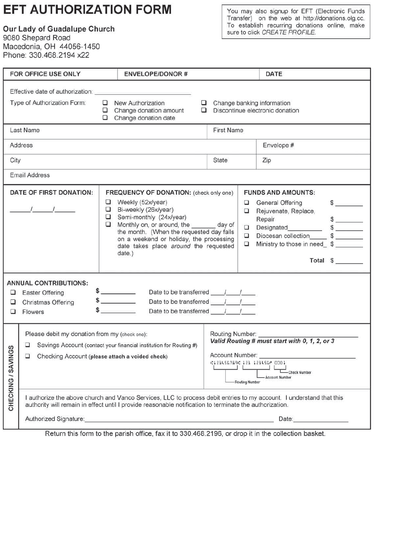### **EFT AUTHORIZATION FORM**

Our Lady of Guadalupe Church 9080 Shepard Road

Macedonia, OH 44056-1450 Phone: 330.468.2194 x22

You may also signup for EFT (Electronic Funds<br>Transfer) on the web at http://donations.olg.cc.<br>To establish recurring donations online, make<br>sure to click CREATE PROFILE.

|                | FOR OFFICE USE ONLY                                                                                                                                                                                                                                                                                                                                                                                    |                  | <b>ENVELOPE/DONOR#</b>                                                                                                                                                                                                                                                                                                                                                                                      |  |            |                       | <b>DATE</b>                                                                                                                                                                                                     |
|----------------|--------------------------------------------------------------------------------------------------------------------------------------------------------------------------------------------------------------------------------------------------------------------------------------------------------------------------------------------------------------------------------------------------------|------------------|-------------------------------------------------------------------------------------------------------------------------------------------------------------------------------------------------------------------------------------------------------------------------------------------------------------------------------------------------------------------------------------------------------------|--|------------|-----------------------|-----------------------------------------------------------------------------------------------------------------------------------------------------------------------------------------------------------------|
|                | Effective date of authorization: Network and the set of authorization:<br>Type of Authorization Form:                                                                                                                                                                                                                                                                                                  |                  | New Authorization<br>Change donation amount<br>□<br>$\Box$ Change donation date                                                                                                                                                                                                                                                                                                                             |  |            |                       | $\Box$ Change banking information<br>Discontinue electronic donation                                                                                                                                            |
|                | Last Name                                                                                                                                                                                                                                                                                                                                                                                              |                  |                                                                                                                                                                                                                                                                                                                                                                                                             |  | First Name |                       |                                                                                                                                                                                                                 |
|                | Address                                                                                                                                                                                                                                                                                                                                                                                                |                  |                                                                                                                                                                                                                                                                                                                                                                                                             |  |            |                       | Envelope #                                                                                                                                                                                                      |
| City           |                                                                                                                                                                                                                                                                                                                                                                                                        |                  |                                                                                                                                                                                                                                                                                                                                                                                                             |  | State      |                       | Zip                                                                                                                                                                                                             |
|                | <b>Email Address</b>                                                                                                                                                                                                                                                                                                                                                                                   |                  |                                                                                                                                                                                                                                                                                                                                                                                                             |  |            |                       |                                                                                                                                                                                                                 |
| ш<br>❏         | DATE OF FIRST DONATION:<br>$\frac{1}{2}$ $\frac{1}{2}$ $\frac{1}{2}$<br><b>ANNUAL CONTRIBUTIONS:</b><br><b>Easter Offering</b><br>Christmas Offering<br>Flowers                                                                                                                                                                                                                                        | o<br>□<br>о<br>о | FREQUENCY OF DONATION: (check only one)<br>Weekly (52x/year)<br>Bi-weekly (26x/year)<br>Semi-monthly (24x/year)<br>Monthly on, or around, the _______ day of<br>the month. (When the requested day falls<br>on a weekend or holiday, the processing<br>date takes place around the requested<br>date.)<br>$\frac{1}{2}$<br>\$<br>Date to be transferred $1/$<br>$\frac{1}{2}$<br>Date to be transferred / / |  |            | □<br>□<br>□<br>□<br>□ | <b>FUNDS AND AMOUNTS:</b><br>General Offering<br>\$<br>Rejuvenate, Replace,<br>Repair<br>$\frac{1}{2}$<br>Designated__________<br>Diocesan collection \$<br>Ministry to those in need_\$<br>Total $\frac{1}{2}$ |
| <b>SAVINGS</b> | Please debit my donation from my (check one):<br>Routing Number:<br>Valid Routing # must start with 0, 1, 2, or 3<br>Savings Account (contact your financial institution for Routing #)<br>❏<br>Account Number: Account 2014<br>□<br>Checking Account (please attach a voided check)<br>41234567894 123 123456* 0001<br>Check Number<br>$\overline{\phantom{a}}$<br>- Account Number<br>Routing Number |                  |                                                                                                                                                                                                                                                                                                                                                                                                             |  |            |                       |                                                                                                                                                                                                                 |
| CHECKING       |                                                                                                                                                                                                                                                                                                                                                                                                        |                  | I authorize the above church and Vanco Services, LLC to process debit entries to my account. I understand that this<br>authority will remain in effect until I provide reasonable notification to terminate the authorization.<br>Authorized Signature: Manual Authorized Signature: Manual Authorized Signature: Manual Authorized Signature:                                                              |  |            |                       |                                                                                                                                                                                                                 |

Return this form to the parish office, fax it to 330.468.2196, or drop it in the collection basket.